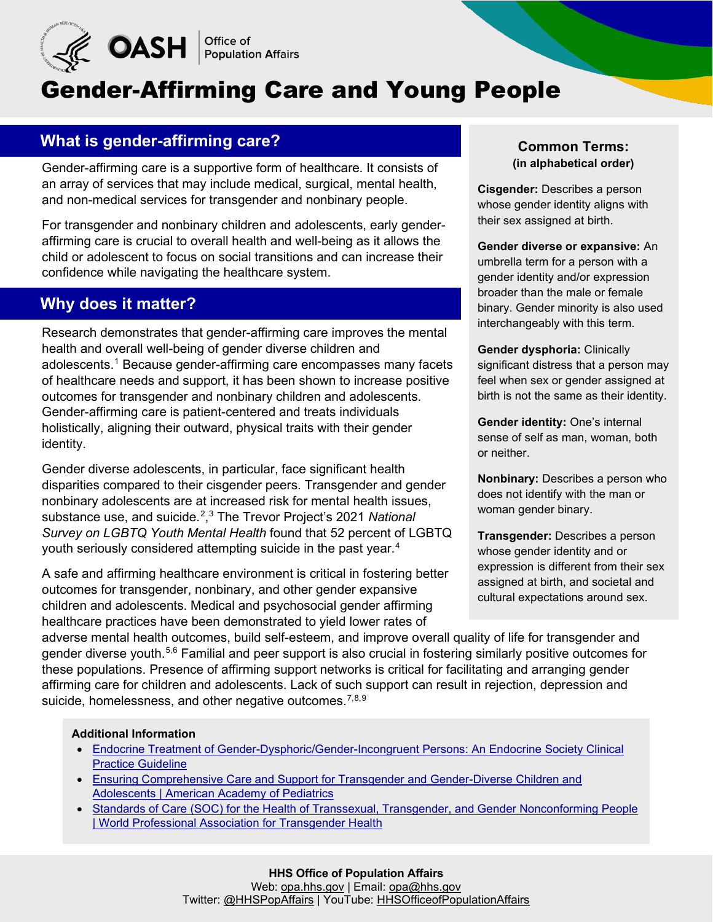

# Gender-Affirming Care and Young People

## **What is gender-affirming care?**

Gender-affirming care is a supportive form of healthcare. It consists of an array of services that may include medical, surgical, mental health, and non-medical services for transgender and nonbinary people.

For transgender and nonbinary children and adolescents, early genderaffirming care is crucial to overall health and well-being as it allows the child or adolescent to focus on social transitions and can increase their confidence while navigating the healthcare system.

### **Why does it matter?**

Research demonstrates that gender-affirming care improves the mental health and overall well-being of gender diverse children and adolescents.<sup>[1](#page-1-0)</sup> Because gender-affirming care encompasses many facets of healthcare needs and support, it has been shown to increase positive outcomes for transgender and nonbinary children and adolescents. Gender-affirming care is patient-centered and treats individuals holistically, aligning their outward, physical traits with their gender identity.

Gender diverse adolescents, in particular, face significant health disparities compared to their cisgender peers. Transgender and gender nonbinary adolescents are at increased risk for mental health issues, substance use, and suicide.[2](#page-1-1) , [3](#page-1-2) The Trevor Project's 2021 *National Survey on LGBTQ Youth Mental Health* found that 52 percent of LGBTQ youth seriously considered attempting suicide in the past year. $\rm ^4$  $\rm ^4$ 

A safe and affirming healthcare environment is critical in fostering better outcomes for transgender, nonbinary, and other gender expansive children and adolescents. Medical and psychosocial gender affirming healthcare practices have been demonstrated to yield lower rates of

#### **Common Terms: (in alphabetical order)**

**Cisgender:** Describes a person whose gender identity aligns with their sex assigned at birth.

**Gender diverse or expansive:** An umbrella term for a person with a gender identity and/or expression broader than the male or female binary. Gender minority is also used interchangeably with this term.

**Gender dysphoria:** Clinically significant distress that a person may feel when sex or gender assigned at birth is not the same as their identity.

**Gender identity:** One's internal sense of self as man, woman, both or neither.

**Nonbinary:** Describes a person who does not identify with the man or woman gender binary.

**Transgender:** Describes a person whose gender identity and or expression is different from their sex assigned at birth, and societal and cultural expectations around sex.

adverse mental health outcomes, build self-esteem, and improve overall quality of life for transgender and gender diverse youth.<sup>[5](#page-1-4),[6](#page-1-5)</sup> Familial and peer support is also crucial in fostering similarly positive outcomes for these populations. Presence of affirming support networks is critical for facilitating and arranging gender affirming care for children and adolescents. Lack of such support can result in rejection, depression and suicide, homelessness, and other negative outcomes.<sup>[7](#page-1-6),[8](#page-1-7),[9](#page-1-8)</sup>

#### **Additional Information**

- [Endocrine Treatment of Gender-Dysphoric/Gender-Incongruent Persons: An Endocrine Society Clinical](https://pubmed.ncbi.nlm.nih.gov/28945902/)  Practice Guideline
- [Ensuring Comprehensive Care and Support for Transgender and Gender-Diverse Children and](https://publications.aap.org/pediatrics/article/142/4/e20182162/37381/Ensuring-Comprehensive-Care-and-Support-for)  Adolescents | American Academy of Pediatrics
- [Standards of Care \(SOC\) for the Health of Transsexual, Transgender, and Gender Nonconforming People](https://www.wpath.org/publications/soc)  | World Professional Association for Transgender Health